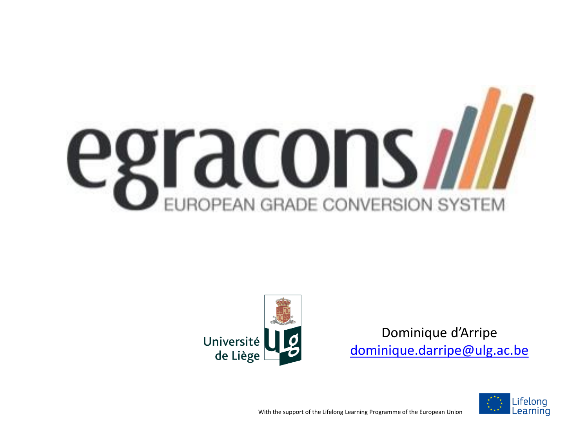



Dominique d'Arripe [dominique.darripe@ulg.ac.be](mailto:dominique.darripe@ulg.ac.be)



With the support of the Lifelong Learning Programme of the European Union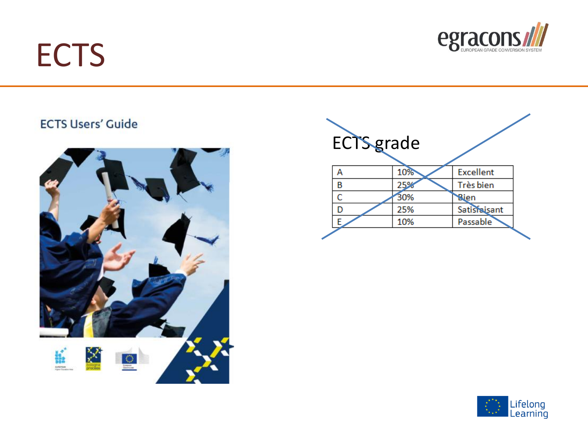#### **ECTS**



#### **ECTS Users' Guide**





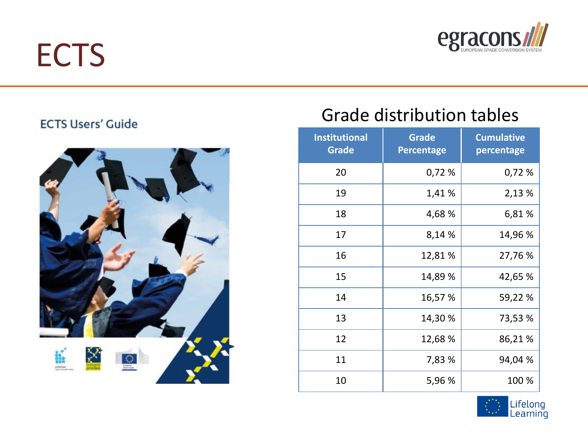#### **ECTS**



#### **ECTS Users' Guide**



#### Grade distribution tables

| <b>Institutional</b><br><b>Grade</b> | <b>Grade</b><br><b>Percentage</b> | <b>Cumulative</b><br>percentage |
|--------------------------------------|-----------------------------------|---------------------------------|
| 20                                   | 0,72 %                            | 0,72%                           |
| 19                                   | 1,41 %                            | 2,13 %                          |
| 18                                   | 4,68 %                            | 6,81%                           |
| 17                                   | 8,14 %                            | 14,96 %                         |
| 16                                   | 12,81 %                           | 27,76 %                         |
| 15                                   | 14,89 %                           | 42,65 %                         |
| 14                                   | 16,57 %                           | 59,22 %                         |
| 13                                   | 14,30 %                           | 73,53 %                         |
| 12                                   | 12,68 %                           | 86,21%                          |
| 11                                   | 7,83 %                            | 94,04 %                         |
| 10                                   | 5,96 %                            | 100 %                           |

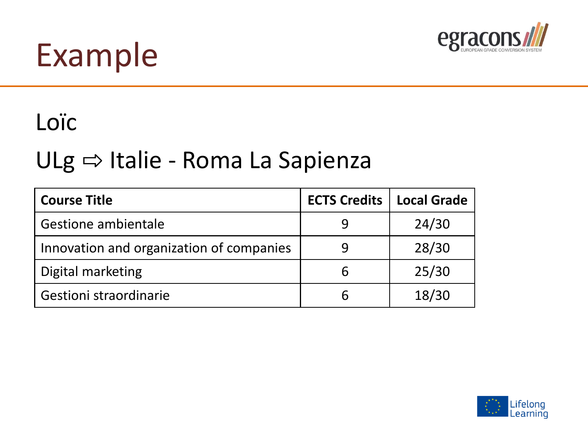

#### Loïc

#### ULg ⇒ Italie - Roma La Sapienza

| <b>Course Title</b>                      | <b>ECTS Credits</b> | <b>Local Grade</b> |
|------------------------------------------|---------------------|--------------------|
| Gestione ambientale                      | 9                   | 24/30              |
| Innovation and organization of companies | 9                   | 28/30              |
| Digital marketing                        | b                   | 25/30              |
| Gestioni straordinarie                   | h                   | 18/30              |

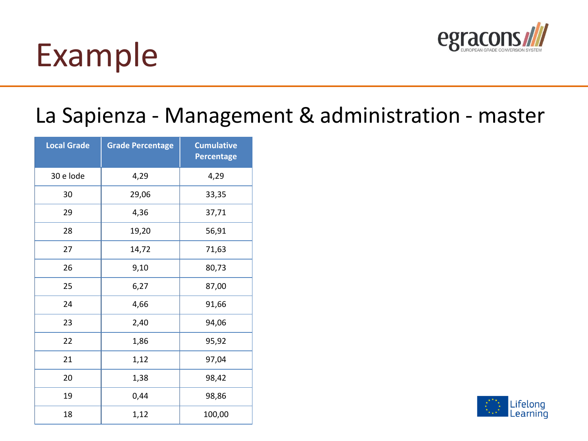

#### La Sapienza - Management & administration - master

| <b>Local Grade</b> | <b>Grade Percentage</b> | <b>Cumulative</b><br><b>Percentage</b> |  |  |  |
|--------------------|-------------------------|----------------------------------------|--|--|--|
| 30 e lode          | 4,29                    | 4,29                                   |  |  |  |
| 30                 | 29,06                   | 33,35                                  |  |  |  |
| 29                 | 4,36                    | 37,71                                  |  |  |  |
| 28                 | 19,20                   | 56,91                                  |  |  |  |
| 27                 | 14,72                   | 71,63                                  |  |  |  |
| 26                 | 9,10                    | 80,73                                  |  |  |  |
| 25                 | 6,27                    | 87,00                                  |  |  |  |
| 24                 | 4,66                    | 91,66                                  |  |  |  |
| 23                 | 2,40                    | 94,06                                  |  |  |  |
| 22                 | 1,86                    | 95,92                                  |  |  |  |
| 21                 | 1,12                    | 97,04                                  |  |  |  |
| 20                 | 1,38                    | 98,42                                  |  |  |  |
| 19                 | 0,44                    | 98,86                                  |  |  |  |
| 18                 | 1,12                    | 100,00                                 |  |  |  |

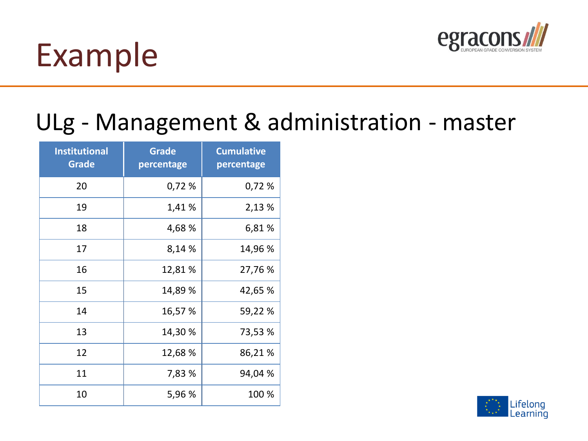

#### ULg - Management & administration - master

| <b>Institutional</b><br><b>Grade</b> | <b>Grade</b><br>percentage | <b>Cumulative</b><br>percentage |
|--------------------------------------|----------------------------|---------------------------------|
| 20                                   | 0,72 %                     | 0,72%                           |
| 19                                   | 1,41 %                     | 2,13 %                          |
| 18                                   | 4,68 %                     | 6,81%                           |
| 17                                   | 8,14 %                     | 14,96 %                         |
| 16                                   | 12,81 %                    | 27,76 %                         |
| 15                                   | 14,89 %                    | 42,65 %                         |
| 14                                   | 16,57 %                    | 59,22 %                         |
| 13                                   | 14,30 %                    | 73,53 %                         |
| 12                                   | 12,68 %                    | 86,21%                          |
| 11                                   | 7,83 %                     | 94,04 %                         |
| 10                                   | 5,96 %                     | 100 %                           |

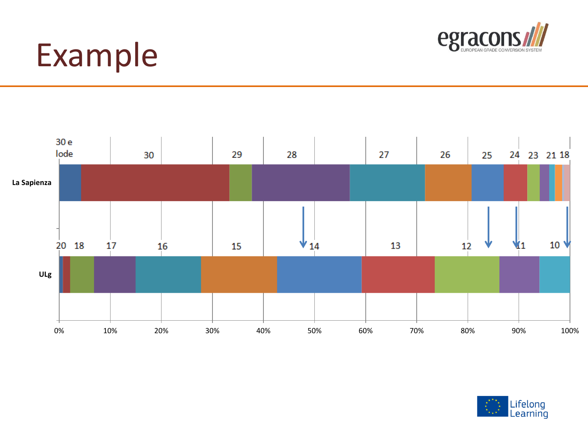



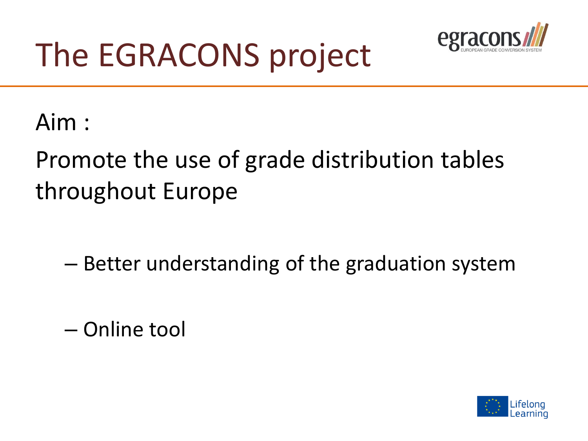

# The EGRACONS project

Aim :

#### Promote the use of grade distribution tables throughout Europe

– Better understanding of the graduation system

– Online tool

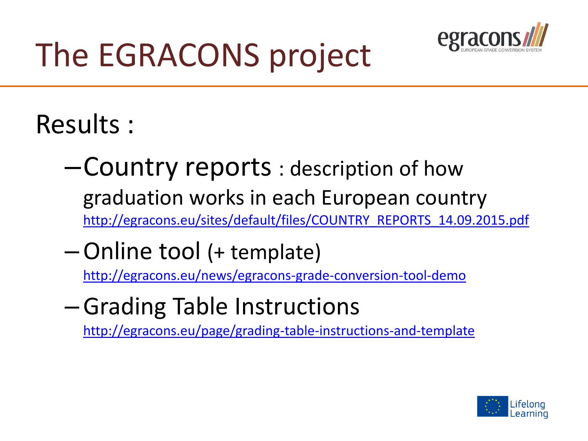

# The EGRACONS project

Results :

- –Country reports : description of how graduation works in each European country [http://egracons.eu/sites/default/files/COUNTRY\\_REPORTS\\_14.09.2015.pdf](http://egracons.eu/sites/default/files/COUNTRY_REPORTS_14.09.2015.pdf)
- –Online tool (+ template)

<http://egracons.eu/news/egracons-grade-conversion-tool-demo>

–Grading Table Instructions

<http://egracons.eu/page/grading-table-instructions-and-template>

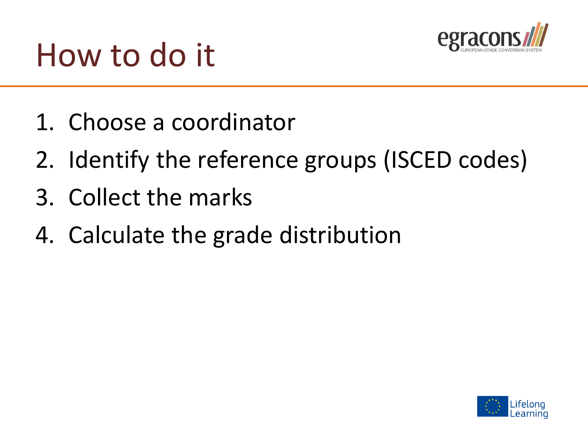

- 1. Choose a coordinator
- 2. Identify the reference groups (ISCED codes)
- 3. Collect the marks
- 4. Calculate the grade distribution

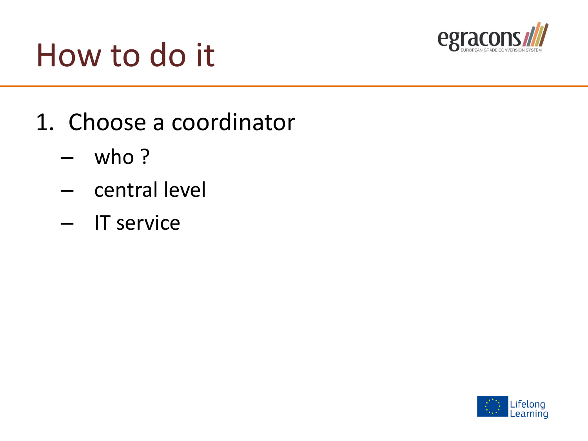

- 1. Choose a coordinator
	- who ?
	- central level
	- IT service

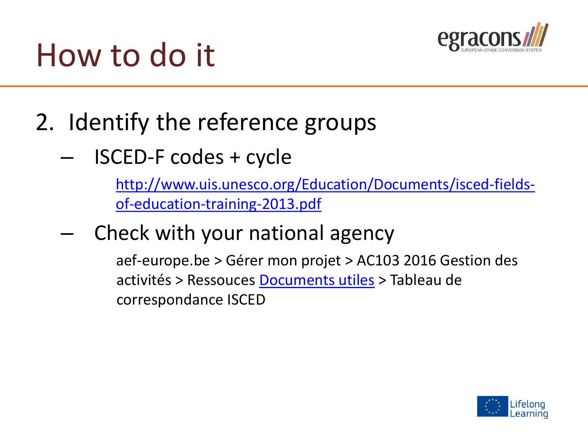

- 2. Identify the reference groups
	- ISCED-F codes + cycle

[http://www.uis.unesco.org/Education/Documents/isced-fields](http://www.uis.unesco.org/Education/Documents/isced-fields-of-education-training-2013.pdf)of-education-training-2013.pdf

– Check with your national agency

aef-europe.be > Gérer mon projet > AC103 2016 Gestion des activités > Ressouces [Documents utiles](http://www.erasmusplus-fr.be/menu-expert/ac1mobilite/enseignement-superieur-pays-programme/documents-utiles/) > Tableau de correspondance ISCED

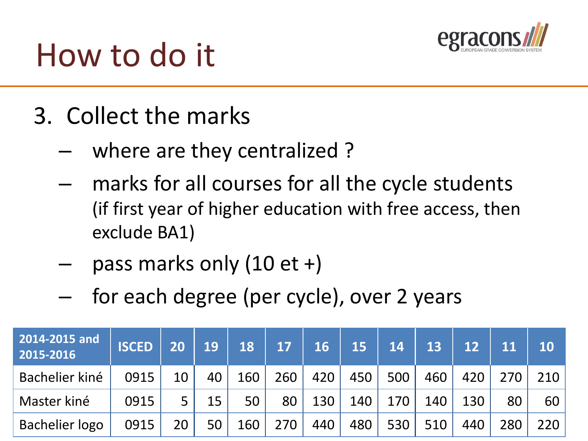

- 3. Collect the marks
	- where are they centralized ?
	- marks for all courses for all the cycle students (if first year of higher education with free access, then exclude BA1)
	- pass marks only  $(10 \text{ et } +)$
	- for each degree (per cycle), over 2 years

| 2014-2015 and<br>2015-2016 | <b>ISCED</b> | 20 | 19 | 18   17         |     | 16   15   14   13   12   11 |                  |            |     |            |       | $\overline{10}$ |
|----------------------------|--------------|----|----|-----------------|-----|-----------------------------|------------------|------------|-----|------------|-------|-----------------|
| Bachelier kiné             | 0915         | 10 | 40 | $160 \mid$      | 260 |                             | $420$   450      | 500        | 460 | 420        | 270 l | 210             |
| Master kiné                | 0915         |    | 15 | 50 <sub>1</sub> | 80  | 130                         | 140 <sup>1</sup> | $170 \mid$ | 140 | $130 \mid$ | 80    | 60              |
| <b>Bachelier logo</b>      | 0915         | 20 | 50 | 160             | 270 | 440                         | 480              | 530        | 510 | 440        | 280   | 220             |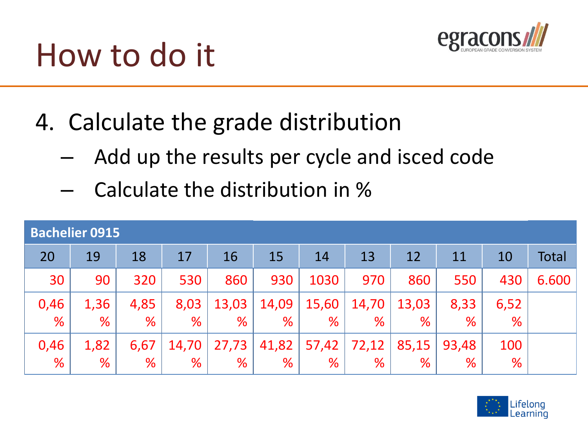

4. Calculate the grade distribution

- Add up the results per cycle and isced code
- Calculate the distribution in %

| <b>Bachelier 0915</b> |      |      |       |       |           |       |       |       |       |      |       |
|-----------------------|------|------|-------|-------|-----------|-------|-------|-------|-------|------|-------|
| 20                    | 19   | 18   | 17    | 16    | <b>15</b> | 14    | 13    | 12    | 11    | 10   | Total |
| 30                    | 90   | 320  | 530   | 860   | 930       | 1030  | 970   | 860   | 550   | 430  | 6.600 |
| 0,46                  | 1,36 | 4,85 | 8,03  | 13,03 | 14,09     | 15,60 | 14,70 | 13,03 | 8,33  | 6,52 |       |
| %                     | %    | %    | %     | ℅     | %         | %     | %     | %     | %     | %    |       |
| 0,46                  | 1,82 | 6,67 | 14,70 | 27,73 | 41,82     | 57,42 | 72,12 | 85,15 | 93,48 | 100  |       |
| $\frac{9}{6}$         | %    | %    | %     | %     | %         | %     | %     | %     | %     | %    |       |

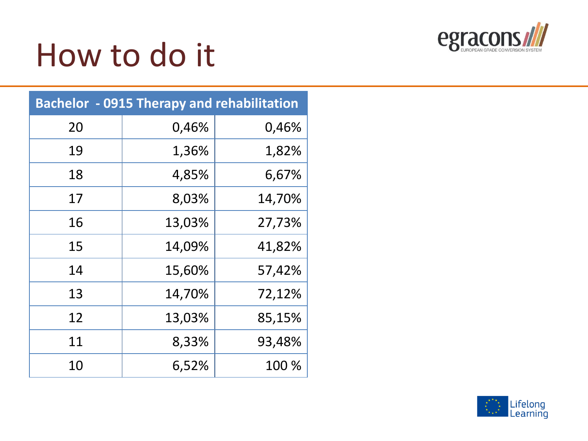

| <b>Bachelor - 0915 Therapy and rehabilitation</b> |        |        |  |  |  |  |  |  |
|---------------------------------------------------|--------|--------|--|--|--|--|--|--|
| 20                                                | 0,46%  | 0,46%  |  |  |  |  |  |  |
| 19                                                | 1,36%  | 1,82%  |  |  |  |  |  |  |
| 18                                                | 4,85%  | 6,67%  |  |  |  |  |  |  |
| 17                                                | 8,03%  | 14,70% |  |  |  |  |  |  |
| 16                                                | 13,03% | 27,73% |  |  |  |  |  |  |
| 15                                                | 14,09% | 41,82% |  |  |  |  |  |  |
| 14                                                | 15,60% | 57,42% |  |  |  |  |  |  |
| 13                                                | 14,70% | 72,12% |  |  |  |  |  |  |
| 12                                                | 13,03% | 85,15% |  |  |  |  |  |  |
| 11                                                | 8,33%  | 93,48% |  |  |  |  |  |  |
| 10                                                | 6,52%  | 100 %  |  |  |  |  |  |  |

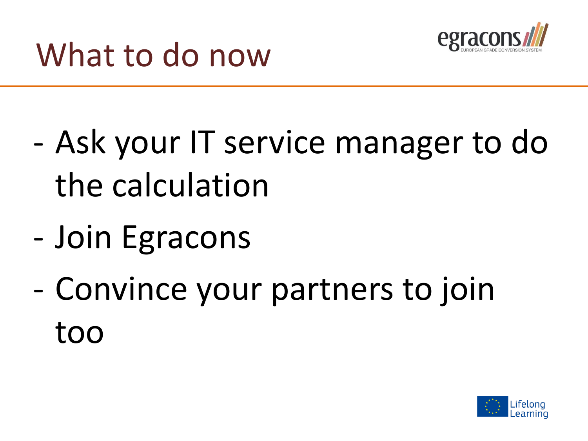

- Ask your IT service manager to do the calculation
- Join Egracons
- Convince your partners to join too

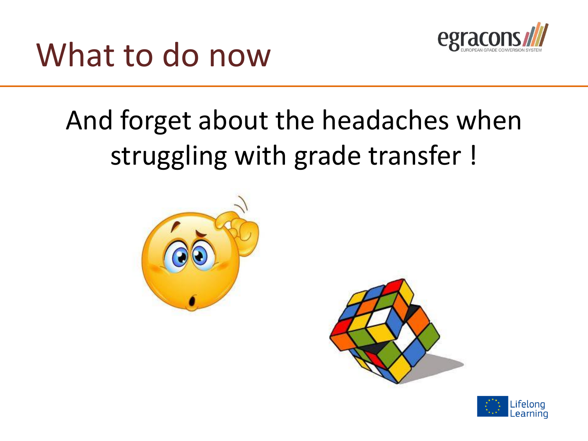

#### What to do now

#### And forget about the headaches when struggling with grade transfer !